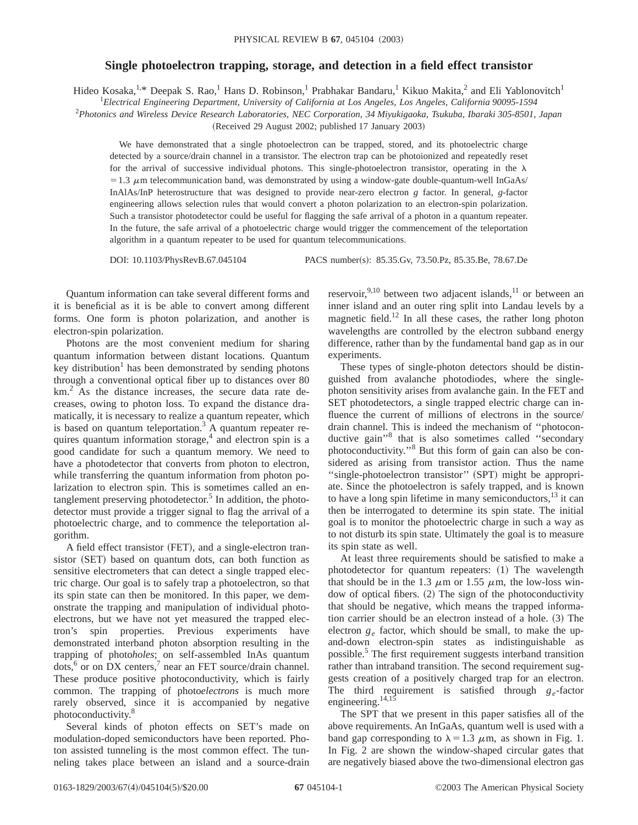## **Single photoelectron trapping, storage, and detection in a field effect transistor**

Hideo Kosaka,<sup>1,\*</sup> Deepak S. Rao,<sup>1</sup> Hans D. Robinson,<sup>1</sup> Prabhakar Bandaru,<sup>1</sup> Kikuo Makita,<sup>2</sup> and Eli Yablonovitch<sup>1</sup>

1 *Electrical Engineering Department, University of California at Los Angeles, Los Angeles, California 90095-1594*

2 *Photonics and Wireless Device Research Laboratories, NEC Corporation, 34 Miyukigaoka, Tsukuba, Ibaraki 305-8501, Japan*

(Received 29 August 2002; published 17 January 2003)

We have demonstrated that a single photoelectron can be trapped, stored, and its photoelectric charge detected by a source/drain channel in a transistor. The electron trap can be photoionized and repeatedly reset for the arrival of successive individual photons. This single-photoelectron transistor, operating in the  $\lambda$  $=1.3 \mu$ m telecommunication band, was demonstrated by using a window-gate double-quantum-well InGaAs/ InAlAs/InP heterostructure that was designed to provide near-zero electron *g* factor. In general, *g*-factor engineering allows selection rules that would convert a photon polarization to an electron-spin polarization. Such a transistor photodetector could be useful for flagging the safe arrival of a photon in a quantum repeater. In the future, the safe arrival of a photoelectric charge would trigger the commencement of the teleportation algorithm in a quantum repeater to be used for quantum telecommunications.

DOI: 10.1103/PhysRevB.67.045104 PACS number(s): 85.35.Gv, 73.50.Pz, 85.35.Be, 78.67.De

Quantum information can take several different forms and it is beneficial as it is be able to convert among different forms. One form is photon polarization, and another is electron-spin polarization.

Photons are the most convenient medium for sharing quantum information between distant locations. Quantum key distribution<sup>1</sup> has been demonstrated by sending photons through a conventional optical fiber up to distances over 80  $km<sup>2</sup>$ . As the distance increases, the secure data rate decreases, owing to photon loss. To expand the distance dramatically, it is necessary to realize a quantum repeater, which is based on quantum teleportation.<sup>3</sup> A quantum repeater requires quantum information storage, $4$  and electron spin is a good candidate for such a quantum memory. We need to have a photodetector that converts from photon to electron, while transferring the quantum information from photon polarization to electron spin. This is sometimes called an entanglement preserving photodetector.<sup>5</sup> In addition, the photodetector must provide a trigger signal to flag the arrival of a photoelectric charge, and to commence the teleportation algorithm.

A field effect transistor (FET), and a single-electron transistor (SET) based on quantum dots, can both function as sensitive electrometers that can detect a single trapped electric charge. Our goal is to safely trap a photoelectron, so that its spin state can then be monitored. In this paper, we demonstrate the trapping and manipulation of individual photoelectrons, but we have not yet measured the trapped electron's spin properties. Previous experiments have demonstrated interband photon absorption resulting in the trapping of photo*holes*; on self-assembled InAs quantum  $\dots,6$  or on DX centers,<sup>7</sup> near an FET source/drain channel. These produce positive photoconductivity, which is fairly common. The trapping of photo*electrons* is much more rarely observed, since it is accompanied by negative photoconductivity.<sup>8</sup>

Several kinds of photon effects on SET's made on modulation-doped semiconductors have been reported. Photon assisted tunneling is the most common effect. The tunneling takes place between an island and a source-drain reservoir,  $9,10$  between two adjacent islands,  $11$  or between an inner island and an outer ring split into Landau levels by a magnetic field.<sup>12</sup> In all these cases, the rather long photon wavelengths are controlled by the electron subband energy difference, rather than by the fundamental band gap as in our experiments.

These types of single-photon detectors should be distinguished from avalanche photodiodes, where the singlephoton sensitivity arises from avalanche gain. In the FET and SET photodetectors, a single trapped electric charge can influence the current of millions of electrons in the source/ drain channel. This is indeed the mechanism of ''photoconductive gain"<sup>8</sup> that is also sometimes called "secondary photoconductivity.''8 But this form of gain can also be considered as arising from transistor action. Thus the name "single-photoelectron transistor" (SPT) might be appropriate. Since the photoelectron is safely trapped, and is known to have a long spin lifetime in many semiconductors,  $^{13}$  it can then be interrogated to determine its spin state. The initial goal is to monitor the photoelectric charge in such a way as to not disturb its spin state. Ultimately the goal is to measure its spin state as well.

At least three requirements should be satisfied to make a photodetector for quantum repeaters:  $(1)$  The wavelength that should be in the 1.3  $\mu$ m or 1.55  $\mu$ m, the low-loss window of optical fibers.  $(2)$  The sign of the photoconductivity that should be negative, which means the trapped information carrier should be an electron instead of a hole.  $(3)$  The electron  $g_e$  factor, which should be small, to make the upand-down electron-spin states as indistinguishable as possible.5 The first requirement suggests interband transition rather than intraband transition. The second requirement suggests creation of a positively charged trap for an electron. The third requirement is satisfied through *ge*-factor engineering. $14,15$ 

The SPT that we present in this paper satisfies all of the above requirements. An InGaAs, quantum well is used with a band gap corresponding to  $\lambda = 1.3 \mu$ m, as shown in Fig. 1. In Fig. 2 are shown the window-shaped circular gates that are negatively biased above the two-dimensional electron gas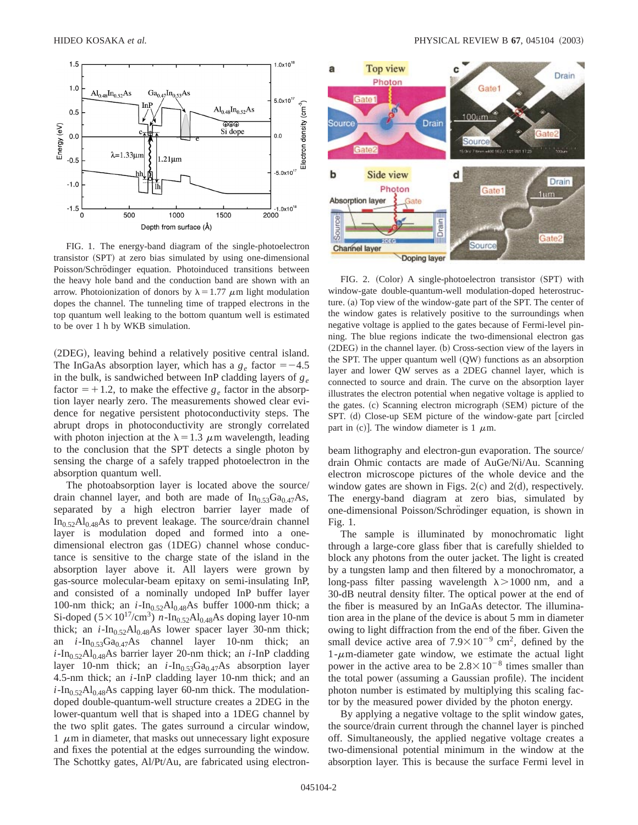

FIG. 1. The energy-band diagram of the single-photoelectron transistor (SPT) at zero bias simulated by using one-dimensional Poisson/Schrödinger equation. Photoinduced transitions between the heavy hole band and the conduction band are shown with an arrow. Photoionization of donors by  $\lambda = 1.77 \mu m$  light modulation dopes the channel. The tunneling time of trapped electrons in the top quantum well leaking to the bottom quantum well is estimated to be over 1 h by WKB simulation.

(2DEG), leaving behind a relatively positive central island. The InGaAs absorption layer, which has a  $g_e$  factor  $=$  -4.5 in the bulk, is sandwiched between InP cladding layers of *ge* factor  $=+1.2$ , to make the effective  $g_e$  factor in the absorption layer nearly zero. The measurements showed clear evidence for negative persistent photoconductivity steps. The abrupt drops in photoconductivity are strongly correlated with photon injection at the  $\lambda = 1.3 \mu$ m wavelength, leading to the conclusion that the SPT detects a single photon by sensing the charge of a safely trapped photoelectron in the absorption quantum well.

The photoabsorption layer is located above the source/ drain channel layer, and both are made of  $In<sub>0.53</sub>Ga<sub>0.47</sub>As$ , separated by a high electron barrier layer made of  $In<sub>0.52</sub>Al<sub>0.48</sub>As$  to prevent leakage. The source/drain channel layer is modulation doped and formed into a onedimensional electron gas (1DEG) channel whose conductance is sensitive to the charge state of the island in the absorption layer above it. All layers were grown by gas-source molecular-beam epitaxy on semi-insulating InP, and consisted of a nominally undoped InP buffer layer 100-nm thick; an  $i$ -In<sub>0.52</sub>Al<sub>0.48</sub>As buffer 1000-nm thick; a Si-doped ( $5 \times 10^{17}$ /cm<sup>3</sup>) *n*-In<sub>0.52</sub>Al<sub>0.48</sub>As doping layer 10-nm thick; an  $i$ -In<sub>0.52</sub>Al<sub>0.48</sub>As lower spacer layer 30-nm thick; an  $i$ -In<sub>0.53</sub>Ga<sub>0.47</sub>As channel layer 10-nm thick; an  $i$ -In<sub>0.52</sub>Al<sub>0.48</sub>As barrier layer 20-nm thick; an  $i$ -InP cladding layer 10-nm thick; an  $i$ -In<sub>0.53</sub>Ga<sub>0.47</sub>As absorption layer 4.5-nm thick; an *i*-InP cladding layer 10-nm thick; and an  $i$ -In<sub>0.52</sub>Al<sub>0.48</sub>As capping layer 60-nm thick. The modulationdoped double-quantum-well structure creates a 2DEG in the lower-quantum well that is shaped into a 1DEG channel by the two split gates. The gates surround a circular window,  $1 \mu$ m in diameter, that masks out unnecessary light exposure and fixes the potential at the edges surrounding the window. The Schottky gates, Al/Pt/Au, are fabricated using electron-



FIG. 2. (Color) A single-photoelectron transistor (SPT) with window-gate double-quantum-well modulation-doped heterostructure.  $(a)$  Top view of the window-gate part of the SPT. The center of the window gates is relatively positive to the surroundings when negative voltage is applied to the gates because of Fermi-level pinning. The blue regions indicate the two-dimensional electron gas  $(2DEG)$  in the channel layer. (b) Cross-section view of the layers in the SPT. The upper quantum well  $(QW)$  functions as an absorption layer and lower QW serves as a 2DEG channel layer, which is connected to source and drain. The curve on the absorption layer illustrates the electron potential when negative voltage is applied to the gates. (c) Scanning electron micrograph (SEM) picture of the SPT. (d) Close-up SEM picture of the window-gate part [circled part in (c)]. The window diameter is 1  $\mu$ m.

beam lithography and electron-gun evaporation. The source/ drain Ohmic contacts are made of AuGe/Ni/Au. Scanning electron microscope pictures of the whole device and the window gates are shown in Figs.  $2(c)$  and  $2(d)$ , respectively. The energy-band diagram at zero bias, simulated by one-dimensional Poisson/Schrödinger equation, is shown in Fig. 1.

The sample is illuminated by monochromatic light through a large-core glass fiber that is carefully shielded to block any photons from the outer jacket. The light is created by a tungsten lamp and then filtered by a monochromator, a long-pass filter passing wavelength  $\lambda > 1000$  nm, and a 30-dB neutral density filter. The optical power at the end of the fiber is measured by an InGaAs detector. The illumination area in the plane of the device is about 5 mm in diameter owing to light diffraction from the end of the fiber. Given the small device active area of  $7.9 \times 10^{-9}$  cm<sup>2</sup>, defined by the  $1-\mu$ m-diameter gate window, we estimate the actual light power in the active area to be  $2.8 \times 10^{-8}$  times smaller than the total power (assuming a Gaussian profile). The incident photon number is estimated by multiplying this scaling factor by the measured power divided by the photon energy.

By applying a negative voltage to the split window gates, the source/drain current through the channel layer is pinched off. Simultaneously, the applied negative voltage creates a two-dimensional potential minimum in the window at the absorption layer. This is because the surface Fermi level in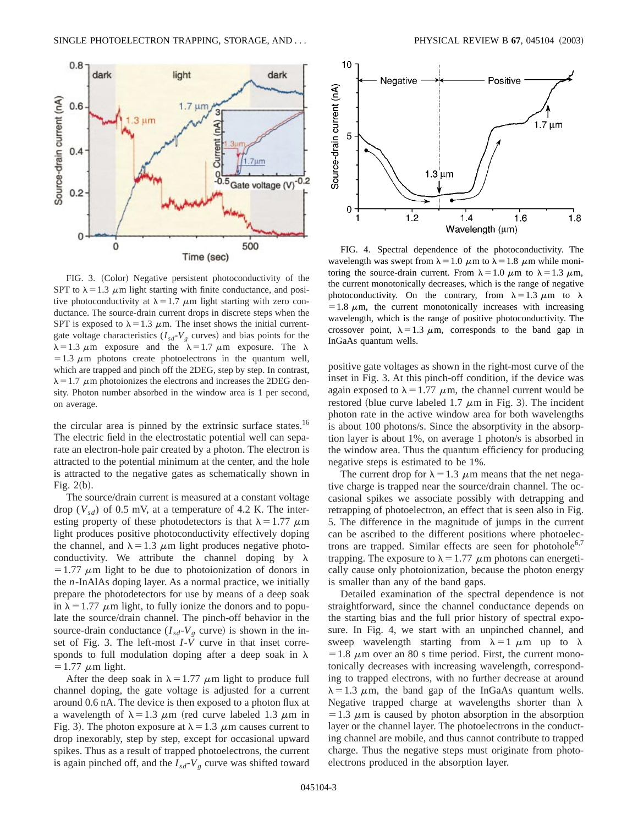

FIG. 3. (Color) Negative persistent photoconductivity of the SPT to  $\lambda = 1.3 \mu$ m light starting with finite conductance, and positive photoconductivity at  $\lambda = 1.7 \mu m$  light starting with zero conductance. The source-drain current drops in discrete steps when the SPT is exposed to  $\lambda = 1.3 \mu$ m. The inset shows the initial currentgate voltage characteristics  $(I_{sd}$ - $V_g$  curves) and bias points for the  $\lambda = 1.3 \mu$ m exposure and the  $\lambda = 1.7 \mu$ m exposure. The  $\lambda$  $=1.3 \mu$ m photons create photoelectrons in the quantum well, which are trapped and pinch off the 2DEG, step by step. In contrast,  $\lambda = 1.7 \mu$ m photoionizes the electrons and increases the 2DEG density. Photon number absorbed in the window area is 1 per second, on average.

the circular area is pinned by the extrinsic surface states.<sup>16</sup> The electric field in the electrostatic potential well can separate an electron-hole pair created by a photon. The electron is attracted to the potential minimum at the center, and the hole is attracted to the negative gates as schematically shown in Fig.  $2(b)$ .

The source/drain current is measured at a constant voltage drop  $(V_{sd})$  of 0.5 mV, at a temperature of 4.2 K. The interesting property of these photodetectors is that  $\lambda = 1.77 \mu$ m light produces positive photoconductivity effectively doping the channel, and  $\lambda = 1.3 \mu m$  light produces negative photoconductivity. We attribute the channel doping by  $\lambda$  $=1.77 \mu m$  light to be due to photoionization of donors in the *n*-InAlAs doping layer. As a normal practice, we initially prepare the photodetectors for use by means of a deep soak in  $\lambda = 1.77 \mu$ m light, to fully ionize the donors and to populate the source/drain channel. The pinch-off behavior in the source-drain conductance  $(I_{sd}$ - $V_g$  curve) is shown in the inset of Fig. 3. The left-most  $I - \tilde{V}$  curve in that inset corresponds to full modulation doping after a deep soak in  $\lambda$  $=1.77 \mu m$  light.

After the deep soak in  $\lambda = 1.77 \mu$ m light to produce full channel doping, the gate voltage is adjusted for a current around 0.6 nA. The device is then exposed to a photon flux at a wavelength of  $\lambda = 1.3 \mu m$  (red curve labeled 1.3  $\mu m$  in Fig. 3). The photon exposure at  $\lambda = 1.3 \mu$ m causes current to drop inexorably, step by step, except for occasional upward spikes. Thus as a result of trapped photoelectrons, the current is again pinched off, and the  $I_{sd}$ - $V_g$  curve was shifted toward



FIG. 4. Spectral dependence of the photoconductivity. The wavelength was swept from  $\lambda = 1.0 \mu$ m to  $\lambda = 1.8 \mu$ m while monitoring the source-drain current. From  $\lambda = 1.0 \mu$ m to  $\lambda = 1.3 \mu$ m, the current monotonically decreases, which is the range of negative photoconductivity. On the contrary, from  $\lambda = 1.3 \mu m$  to  $\lambda$  $=1.8 \mu$ m, the current monotonically increases with increasing wavelength, which is the range of positive photoconductivity. The crossover point,  $\lambda = 1.3 \mu$ m, corresponds to the band gap in InGaAs quantum wells.

positive gate voltages as shown in the right-most curve of the inset in Fig. 3. At this pinch-off condition, if the device was again exposed to  $\lambda = 1.77 \mu$ m, the channel current would be restored (blue curve labeled 1.7  $\mu$ m in Fig. 3). The incident photon rate in the active window area for both wavelengths is about 100 photons/s. Since the absorptivity in the absorption layer is about 1%, on average 1 photon/s is absorbed in the window area. Thus the quantum efficiency for producing negative steps is estimated to be 1%.

The current drop for  $\lambda = 1.3 \mu$ m means that the net negative charge is trapped near the source/drain channel. The occasional spikes we associate possibly with detrapping and retrapping of photoelectron, an effect that is seen also in Fig. 5. The difference in the magnitude of jumps in the current can be ascribed to the different positions where photoelectrons are trapped. Similar effects are seen for photohole<sup>6,7</sup> trapping. The exposure to  $\lambda = 1.77 \mu$ m photons can energetically cause only photoionization, because the photon energy is smaller than any of the band gaps.

Detailed examination of the spectral dependence is not straightforward, since the channel conductance depends on the starting bias and the full prior history of spectral exposure. In Fig. 4, we start with an unpinched channel, and sweep wavelength starting from  $\lambda = 1 \mu m$  up to  $\lambda$  $=1.8 \mu$ m over an 80 s time period. First, the current monotonically decreases with increasing wavelength, corresponding to trapped electrons, with no further decrease at around  $\lambda = 1.3$   $\mu$ m, the band gap of the InGaAs quantum wells. Negative trapped charge at wavelengths shorter than  $\lambda$  $=1.3 \mu$ m is caused by photon absorption in the absorption layer or the channel layer. The photoelectrons in the conducting channel are mobile, and thus cannot contribute to trapped charge. Thus the negative steps must originate from photoelectrons produced in the absorption layer.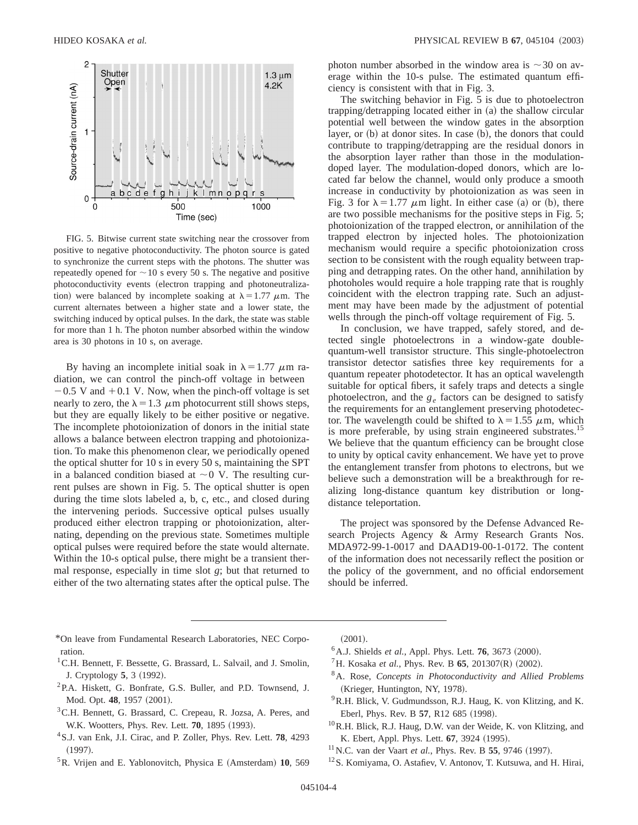

FIG. 5. Bitwise current state switching near the crossover from positive to negative photoconductivity. The photon source is gated to synchronize the current steps with the photons. The shutter was repeatedly opened for  $\sim$  10 s every 50 s. The negative and positive photoconductivity events (electron trapping and photoneutralization) were balanced by incomplete soaking at  $\lambda = 1.77 \mu$ m. The current alternates between a higher state and a lower state, the switching induced by optical pulses. In the dark, the state was stable for more than 1 h. The photon number absorbed within the window area is 30 photons in 10 s, on average.

By having an incomplete initial soak in  $\lambda = 1.77 \mu m$  radiation, we can control the pinch-off voltage in between  $-0.5$  V and  $+0.1$  V. Now, when the pinch-off voltage is set nearly to zero, the  $\lambda = 1.3 \mu$ m photocurrent still shows steps, but they are equally likely to be either positive or negative. The incomplete photoionization of donors in the initial state allows a balance between electron trapping and photoionization. To make this phenomenon clear, we periodically opened the optical shutter for 10 s in every 50 s, maintaining the SPT in a balanced condition biased at  $\sim$  0 V. The resulting current pulses are shown in Fig. 5. The optical shutter is open during the time slots labeled a, b, c, etc., and closed during the intervening periods. Successive optical pulses usually produced either electron trapping or photoionization, alternating, depending on the previous state. Sometimes multiple optical pulses were required before the state would alternate. Within the 10-s optical pulse, there might be a transient thermal response, especially in time slot *g*; but that returned to either of the two alternating states after the optical pulse. The photon number absorbed in the window area is  $\sim$ 30 on average within the 10-s pulse. The estimated quantum efficiency is consistent with that in Fig. 3.

The switching behavior in Fig. 5 is due to photoelectron  $trapping/detrapping located either in (a) the shallow circular$ potential well between the window gates in the absorption layer, or  $(b)$  at donor sites. In case  $(b)$ , the donors that could contribute to trapping/detrapping are the residual donors in the absorption layer rather than those in the modulationdoped layer. The modulation-doped donors, which are located far below the channel, would only produce a smooth increase in conductivity by photoionization as was seen in Fig. 3 for  $\lambda = 1.77 \mu m$  light. In either case (a) or (b), there are two possible mechanisms for the positive steps in Fig. 5; photoionization of the trapped electron, or annihilation of the trapped electron by injected holes. The photoionization mechanism would require a specific photoionization cross section to be consistent with the rough equality between trapping and detrapping rates. On the other hand, annihilation by photoholes would require a hole trapping rate that is roughly coincident with the electron trapping rate. Such an adjustment may have been made by the adjustment of potential wells through the pinch-off voltage requirement of Fig. 5.

In conclusion, we have trapped, safely stored, and detected single photoelectrons in a window-gate doublequantum-well transistor structure. This single-photoelectron transistor detector satisfies three key requirements for a quantum repeater photodetector. It has an optical wavelength suitable for optical fibers, it safely traps and detects a single photoelectron, and the  $g_e$  factors can be designed to satisfy the requirements for an entanglement preserving photodetector. The wavelength could be shifted to  $\lambda = 1.55 \mu$ m, which is more preferable, by using strain engineered substrates.<sup>15</sup> We believe that the quantum efficiency can be brought close to unity by optical cavity enhancement. We have yet to prove the entanglement transfer from photons to electrons, but we believe such a demonstration will be a breakthrough for realizing long-distance quantum key distribution or longdistance teleportation.

The project was sponsored by the Defense Advanced Research Projects Agency & Army Research Grants Nos. MDA972-99-1-0017 and DAAD19-00-1-0172. The content of the information does not necessarily reflect the position or the policy of the government, and no official endorsement should be inferred.

- \*On leave from Fundamental Research Laboratories, NEC Corporation.
- <sup>1</sup> C.H. Bennett, F. Bessette, G. Brassard, L. Salvail, and J. Smolin, J. Cryptology 5, 3 (1992).
- 2P.A. Hiskett, G. Bonfrate, G.S. Buller, and P.D. Townsend, J. Mod. Opt. 48, 1957 (2001).
- <sup>3</sup>C.H. Bennett, G. Brassard, C. Crepeau, R. Jozsa, A. Peres, and W.K. Wootters, Phys. Rev. Lett. **70**, 1895 (1993).
- 4S.J. van Enk, J.I. Cirac, and P. Zoller, Phys. Rev. Lett. **78**, 4293  $(1997).$
- <sup>5</sup>R. Vrijen and E. Yablonovitch, Physica E (Amsterdam) 10, 569

 $(2001).$ 

- <sup>6</sup> A.J. Shields *et al.*, Appl. Phys. Lett. **76**, 3673 (2000).
- <sup>7</sup>H. Kosaka *et al.*, Phys. Rev. B **65**, 201307(R) (2002).
- 8A. Rose, *Concepts in Photoconductivity and Allied Problems* (Krieger, Huntington, NY, 1978).
- 9R.H. Blick, V. Gudmundsson, R.J. Haug, K. von Klitzing, and K. Eberl, Phys. Rev. B **57**, R12 685 (1998).
- 10R.H. Blick, R.J. Haug, D.W. van der Weide, K. von Klitzing, and K. Ebert, Appl. Phys. Lett. **67**, 3924 (1995).
- $11$ N.C. van der Vaart *et al.*, Phys. Rev. B 55, 9746 (1997).
- 12S. Komiyama, O. Astafiev, V. Antonov, T. Kutsuwa, and H. Hirai,